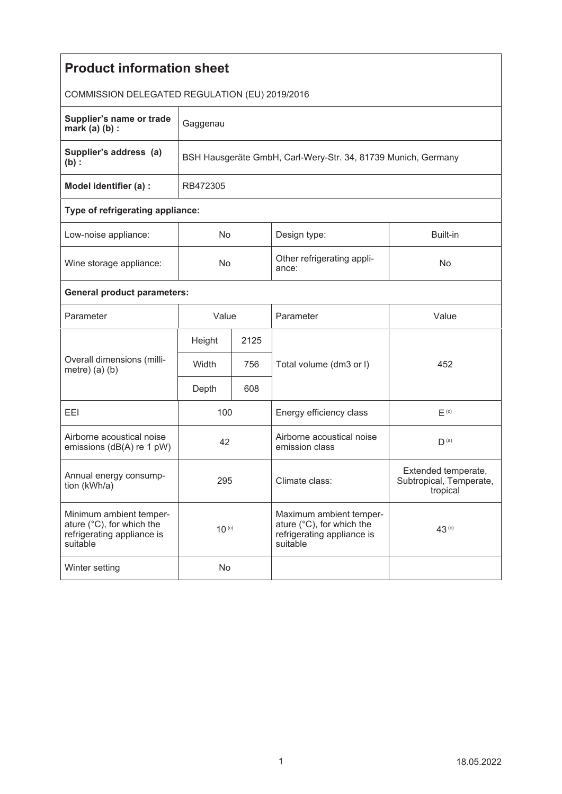| <b>Product information sheet</b>                                                               |                                                               |      |                                                                                                |                                                            |  |  |
|------------------------------------------------------------------------------------------------|---------------------------------------------------------------|------|------------------------------------------------------------------------------------------------|------------------------------------------------------------|--|--|
| COMMISSION DELEGATED REGULATION (EU) 2019/2016                                                 |                                                               |      |                                                                                                |                                                            |  |  |
| Supplier's name or trade<br>mark $(a)$ $(b)$ :                                                 | Gaggenau                                                      |      |                                                                                                |                                                            |  |  |
| Supplier's address (a)<br>$(b)$ :                                                              | BSH Hausgeräte GmbH, Carl-Wery-Str. 34, 81739 Munich, Germany |      |                                                                                                |                                                            |  |  |
| Model identifier (a) :                                                                         | RB472305                                                      |      |                                                                                                |                                                            |  |  |
| Type of refrigerating appliance:                                                               |                                                               |      |                                                                                                |                                                            |  |  |
| Low-noise appliance:                                                                           | No                                                            |      | Design type:                                                                                   | Built-in                                                   |  |  |
| Wine storage appliance:                                                                        | No                                                            |      | Other refrigerating appli-<br>ance:                                                            | No                                                         |  |  |
| <b>General product parameters:</b>                                                             |                                                               |      |                                                                                                |                                                            |  |  |
| Parameter                                                                                      | Value                                                         |      | Parameter                                                                                      | Value                                                      |  |  |
| Overall dimensions (milli-<br>metre) $(a)$ $(b)$                                               | Height                                                        | 2125 |                                                                                                |                                                            |  |  |
|                                                                                                | Width                                                         | 756  | Total volume (dm3 or I)                                                                        | 452                                                        |  |  |
|                                                                                                | Depth                                                         | 608  |                                                                                                |                                                            |  |  |
| EEI                                                                                            | 100                                                           |      | Energy efficiency class                                                                        | $E^{(c)}$                                                  |  |  |
| Airborne acoustical noise<br>emissions (dB(A) re 1 pW)                                         | 42                                                            |      | Airborne acoustical noise<br>emission class                                                    | D <sup>(a)</sup>                                           |  |  |
| Annual energy consump-<br>tion (kWh/a)                                                         | 295                                                           |      | Climate class:                                                                                 | Extended temperate,<br>Subtropical, Temperate,<br>tropical |  |  |
| Minimum ambient temper-<br>ature (°C), for which the<br>refrigerating appliance is<br>suitable | $10^{(c)}$                                                    |      | Maximum ambient temper-<br>ature (°C), for which the<br>refrigerating appliance is<br>suitable | 43 <sup>(c)</sup>                                          |  |  |
| Winter setting                                                                                 | No                                                            |      |                                                                                                |                                                            |  |  |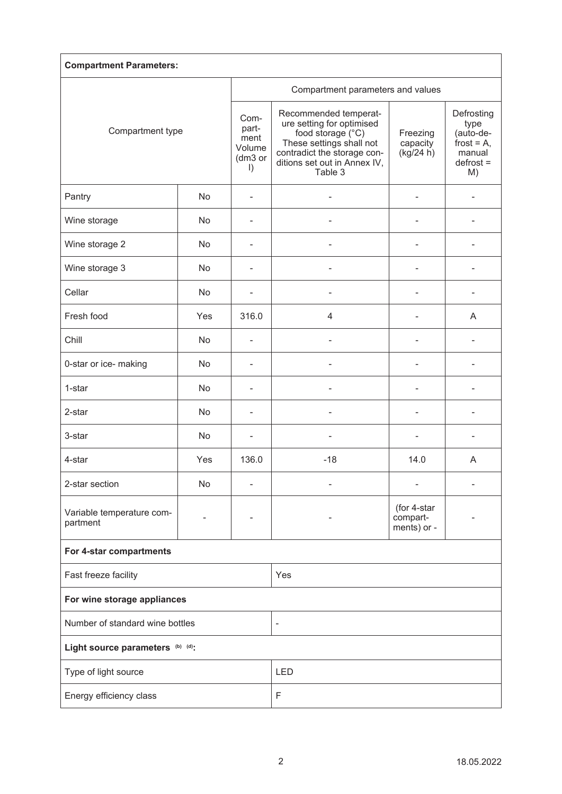| <b>Compartment Parameters:</b>        |           |                                                       |                                                                                                                                                                               |                                        |                                                                                 |  |  |
|---------------------------------------|-----------|-------------------------------------------------------|-------------------------------------------------------------------------------------------------------------------------------------------------------------------------------|----------------------------------------|---------------------------------------------------------------------------------|--|--|
| Compartment type                      |           | Compartment parameters and values                     |                                                                                                                                                                               |                                        |                                                                                 |  |  |
|                                       |           | Com-<br>part-<br>ment<br>Volume<br>(dm3 or<br>$\vert$ | Recommended temperat-<br>ure setting for optimised<br>food storage (°C)<br>These settings shall not<br>contradict the storage con-<br>ditions set out in Annex IV,<br>Table 3 | Freezing<br>capacity<br>(kg/24 h)      | Defrosting<br>type<br>(auto-de-<br>frost = $A$ ,<br>manual<br>$defrost =$<br>M) |  |  |
| Pantry                                | <b>No</b> |                                                       |                                                                                                                                                                               | L                                      |                                                                                 |  |  |
| Wine storage                          | No        | ۰                                                     |                                                                                                                                                                               |                                        |                                                                                 |  |  |
| Wine storage 2                        | No        | ۰                                                     |                                                                                                                                                                               |                                        |                                                                                 |  |  |
| Wine storage 3                        | <b>No</b> | ۰                                                     |                                                                                                                                                                               | ÷                                      |                                                                                 |  |  |
| Cellar                                | No        | $\overline{\phantom{0}}$                              | Ĭ.                                                                                                                                                                            | $\overline{\phantom{0}}$               |                                                                                 |  |  |
| Fresh food                            | Yes       | 316.0                                                 | 4                                                                                                                                                                             | ÷                                      | A                                                                               |  |  |
| Chill                                 | No        | $\overline{a}$                                        |                                                                                                                                                                               |                                        |                                                                                 |  |  |
| 0-star or ice- making                 | No        |                                                       |                                                                                                                                                                               |                                        |                                                                                 |  |  |
| 1-star                                | No        |                                                       |                                                                                                                                                                               |                                        |                                                                                 |  |  |
| 2-star                                | No        |                                                       |                                                                                                                                                                               |                                        |                                                                                 |  |  |
| 3-star                                | No        | $\overline{a}$                                        |                                                                                                                                                                               |                                        |                                                                                 |  |  |
| 4-star                                | Yes       | 136.0                                                 | $-18$                                                                                                                                                                         | 14.0                                   | A                                                                               |  |  |
| 2-star section                        | No        |                                                       |                                                                                                                                                                               | ۳                                      |                                                                                 |  |  |
| Variable temperature com-<br>partment |           |                                                       |                                                                                                                                                                               | (for 4-star<br>compart-<br>ments) or - |                                                                                 |  |  |
| For 4-star compartments               |           |                                                       |                                                                                                                                                                               |                                        |                                                                                 |  |  |
| Fast freeze facility                  |           |                                                       | Yes                                                                                                                                                                           |                                        |                                                                                 |  |  |
| For wine storage appliances           |           |                                                       |                                                                                                                                                                               |                                        |                                                                                 |  |  |
| Number of standard wine bottles       |           |                                                       | $\overline{\phantom{0}}$                                                                                                                                                      |                                        |                                                                                 |  |  |
| Light source parameters (b) (d):      |           |                                                       |                                                                                                                                                                               |                                        |                                                                                 |  |  |
| Type of light source                  |           |                                                       | <b>LED</b>                                                                                                                                                                    |                                        |                                                                                 |  |  |
| Energy efficiency class               |           |                                                       | F                                                                                                                                                                             |                                        |                                                                                 |  |  |